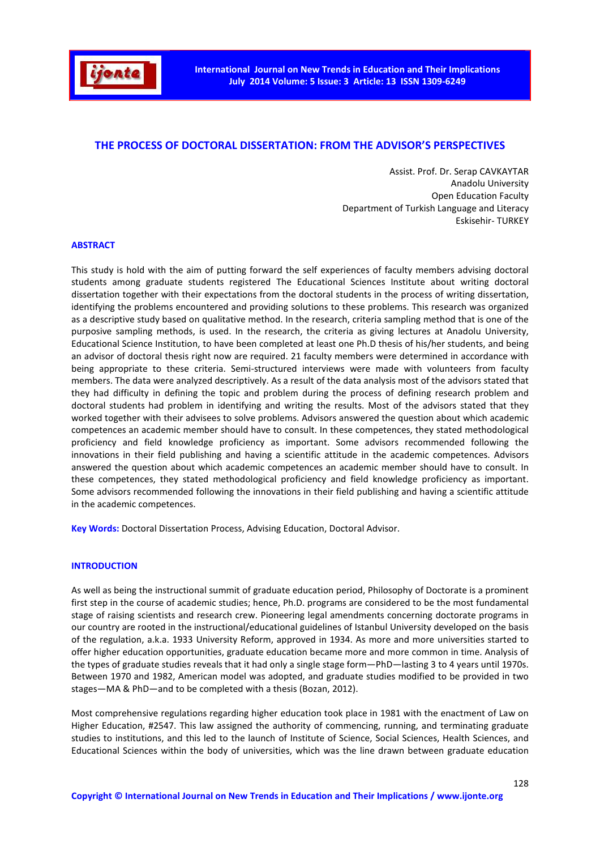

# **THE PROCESS OF DOCTORAL DISSERTATION: FROM THE ADVISOR'S PERSPECTIVES**

Assist. Prof. Dr. Serap CAVKAYTAR Anadolu University Open Education Faculty Department of Turkish Language and Literacy Eskisehir- TURKEY

### **ABSTRACT**

This study is hold with the aim of putting forward the self experiences of faculty members advising doctoral students among graduate students registered The Educational Sciences Institute about writing doctoral dissertation together with their expectations from the doctoral students in the process of writing dissertation, identifying the problems encountered and providing solutions to these problems. This research was organized as a descriptive study based on qualitative method. In the research, criteria sampling method that is one of the purposive sampling methods, is used. In the research, the criteria as giving lectures at Anadolu University, Educational Science Institution, to have been completed at least one Ph.D thesis of his/her students, and being an advisor of doctoral thesis right now are required. 21 faculty members were determined in accordance with being appropriate to these criteria. Semi-structured interviews were made with volunteers from faculty members. The data were analyzed descriptively. As a result of the data analysis most of the advisors stated that they had difficulty in defining the topic and problem during the process of defining research problem and doctoral students had problem in identifying and writing the results. Most of the advisors stated that they worked together with their advisees to solve problems. Advisors answered the question about which academic competences an academic member should have to consult. In these competences, they stated methodological proficiency and field knowledge proficiency as important. Some advisors recommended following the innovations in their field publishing and having a scientific attitude in the academic competences. Advisors answered the question about which academic competences an academic member should have to consult. In these competences, they stated methodological proficiency and field knowledge proficiency as important. Some advisors recommended following the innovations in their field publishing and having a scientific attitude in the academic competences.

**Key Words:** Doctoral Dissertation Process, Advising Education, Doctoral Advisor.

#### **INTRODUCTION**

As well as being the instructional summit of graduate education period, Philosophy of Doctorate is a prominent first step in the course of academic studies; hence, Ph.D. programs are considered to be the most fundamental stage of raising scientists and research crew. Pioneering legal amendments concerning doctorate programs in our country are rooted in the instructional/educational guidelines of Istanbul University developed on the basis of the regulation, a.k.a. 1933 University Reform, approved in 1934. As more and more universities started to offer higher education opportunities, graduate education became more and more common in time. Analysis of the types of graduate studies reveals that it had only a single stage form—PhD—lasting 3 to 4 years until 1970s. Between 1970 and 1982, American model was adopted, and graduate studies modified to be provided in two stages—MA & PhD—and to be completed with a thesis (Bozan, 2012).

Most comprehensive regulations regarding higher education took place in 1981 with the enactment of Law on Higher Education, #2547. This law assigned the authority of commencing, running, and terminating graduate studies to institutions, and this led to the launch of Institute of Science, Social Sciences, Health Sciences, and Educational Sciences within the body of universities, which was the line drawn between graduate education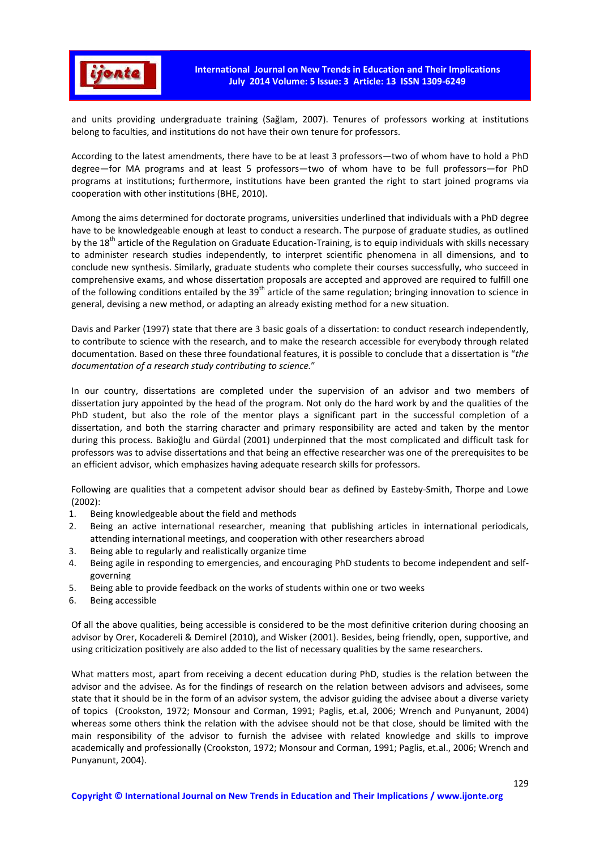

and units providing undergraduate training (Sağlam, 2007). Tenures of professors working at institutions belong to faculties, and institutions do not have their own tenure for professors.

According to the latest amendments, there have to be at least 3 professors—two of whom have to hold a PhD degree—for MA programs and at least 5 professors—two of whom have to be full professors—for PhD programs at institutions; furthermore, institutions have been granted the right to start joined programs via cooperation with other institutions (BHE, 2010).

Among the aims determined for doctorate programs, universities underlined that individuals with a PhD degree have to be knowledgeable enough at least to conduct a research. The purpose of graduate studies, as outlined by the  $18<sup>th</sup>$  article of the Regulation on Graduate Education-Training, is to equip individuals with skills necessary to administer research studies independently, to interpret scientific phenomena in all dimensions, and to conclude new synthesis. Similarly, graduate students who complete their courses successfully, who succeed in comprehensive exams, and whose dissertation proposals are accepted and approved are required to fulfill one of the following conditions entailed by the 39<sup>th</sup> article of the same regulation; bringing innovation to science in general, devising a new method, or adapting an already existing method for a new situation.

Davis and Parker (1997) state that there are 3 basic goals of a dissertation: to conduct research independently, to contribute to science with the research, and to make the research accessible for everybody through related documentation. Based on these three foundational features, it is possible to conclude that a dissertation is "*the documentation of a research study contributing to science.*"

In our country, dissertations are completed under the supervision of an advisor and two members of dissertation jury appointed by the head of the program. Not only do the hard work by and the qualities of the PhD student, but also the role of the mentor plays a significant part in the successful completion of a dissertation, and both the starring character and primary responsibility are acted and taken by the mentor during this process. Bakioğlu and Gürdal (2001) underpinned that the most complicated and difficult task for professors was to advise dissertations and that being an effective researcher was one of the prerequisites to be an efficient advisor, which emphasizes having adequate research skills for professors.

Following are qualities that a competent advisor should bear as defined by Easteby-Smith, Thorpe and Lowe (2002):

- 1. Being knowledgeable about the field and methods
- 2. Being an active international researcher, meaning that publishing articles in international periodicals, attending international meetings, and cooperation with other researchers abroad
- 3. Being able to regularly and realistically organize time
- 4. Being agile in responding to emergencies, and encouraging PhD students to become independent and selfgoverning
- 5. Being able to provide feedback on the works of students within one or two weeks
- 6. Being accessible

Of all the above qualities, being accessible is considered to be the most definitive criterion during choosing an advisor by Orer, Kocadereli & Demirel (2010), and Wisker (2001). Besides, being friendly, open, supportive, and using criticization positively are also added to the list of necessary qualities by the same researchers.

What matters most, apart from receiving a decent education during PhD, studies is the relation between the advisor and the advisee. As for the findings of research on the relation between advisors and advisees, some state that it should be in the form of an advisor system, the advisor guiding the advisee about a diverse variety of topics (Crookston, 1972; Monsour and Corman, 1991; Paglis, et.al, 2006; Wrench and Punyanunt, 2004) whereas some others think the relation with the advisee should not be that close, should be limited with the main responsibility of the advisor to furnish the advisee with related knowledge and skills to improve academically and professionally (Crookston, 1972; Monsour and Corman, 1991; Paglis, et.al., 2006; Wrench and Punyanunt, 2004).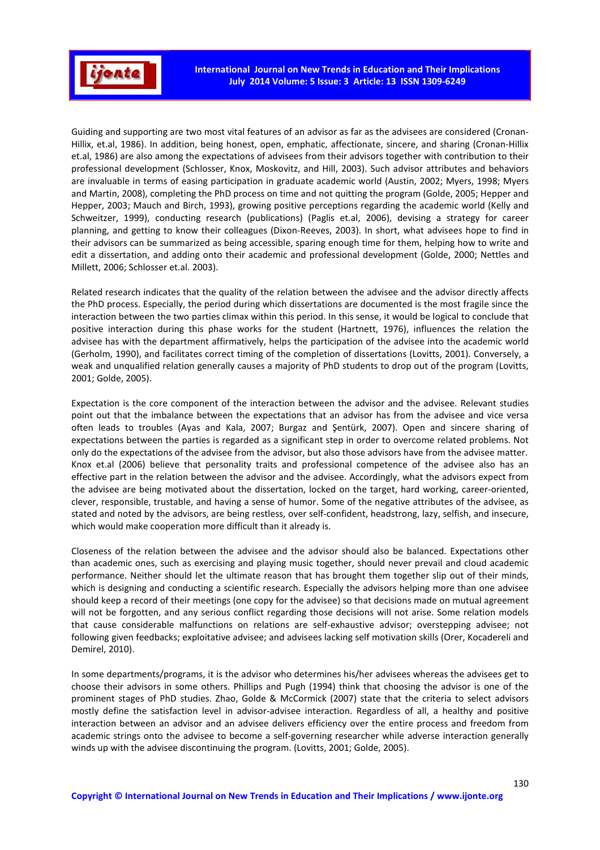

Guiding and supporting are two most vital features of an advisor as far as the advisees are considered (Cronan-Hillix, et.al, 1986). In addition, being honest, open, emphatic, affectionate, sincere, and sharing (Cronan-Hillix et.al, 1986) are also among the expectations of advisees from their advisors together with contribution to their professional development (Schlosser, Knox, Moskovitz, and Hill, 2003). Such advisor attributes and behaviors are invaluable in terms of easing participation in graduate academic world (Austin, 2002; Myers, 1998; Myers and Martin, 2008), completing the PhD process on time and not quitting the program (Golde, 2005; Hepper and Hepper, 2003; Mauch and Birch, 1993), growing positive perceptions regarding the academic world (Kelly and Schweitzer, 1999), conducting research (publications) (Paglis et.al, 2006), devising a strategy for career planning, and getting to know their colleagues (Dixon-Reeves, 2003). In short, what advisees hope to find in their advisors can be summarized as being accessible, sparing enough time for them, helping how to write and edit a dissertation, and adding onto their academic and professional development (Golde, 2000; Nettles and Millett, 2006; Schlosser et.al. 2003).

Related research indicates that the quality of the relation between the advisee and the advisor directly affects the PhD process. Especially, the period during which dissertations are documented is the most fragile since the interaction between the two parties climax within this period. In this sense, it would be logical to conclude that positive interaction during this phase works for the student (Hartnett, 1976), influences the relation the advisee has with the department affirmatively, helps the participation of the advisee into the academic world (Gerholm, 1990), and facilitates correct timing of the completion of dissertations (Lovitts, 2001). Conversely, a weak and unqualified relation generally causes a majority of PhD students to drop out of the program (Lovitts, 2001; Golde, 2005).

Expectation is the core component of the interaction between the advisor and the advisee. Relevant studies point out that the imbalance between the expectations that an advisor has from the advisee and vice versa often leads to troubles (Ayas and Kala, 2007; Burgaz and Şentürk, 2007). Open and sincere sharing of expectations between the parties is regarded as a significant step in order to overcome related problems. Not only do the expectations of the advisee from the advisor, but also those advisors have from the advisee matter. Knox et.al (2006) believe that personality traits and professional competence of the advisee also has an effective part in the relation between the advisor and the advisee. Accordingly, what the advisors expect from the advisee are being motivated about the dissertation, locked on the target, hard working, career-oriented, clever, responsible, trustable, and having a sense of humor. Some of the negative attributes of the advisee, as stated and noted by the advisors, are being restless, over self-confident, headstrong, lazy, selfish, and insecure, which would make cooperation more difficult than it already is.

Closeness of the relation between the advisee and the advisor should also be balanced. Expectations other than academic ones, such as exercising and playing music together, should never prevail and cloud academic performance. Neither should let the ultimate reason that has brought them together slip out of their minds, which is designing and conducting a scientific research. Especially the advisors helping more than one advisee should keep a record of their meetings (one copy for the advisee) so that decisions made on mutual agreement will not be forgotten, and any serious conflict regarding those decisions will not arise. Some relation models that cause considerable malfunctions on relations are self-exhaustive advisor; overstepping advisee; not following given feedbacks; exploitative advisee; and advisees lacking self motivation skills (Orer, Kocadereli and Demirel, 2010).

In some departments/programs, it is the advisor who determines his/her advisees whereas the advisees get to choose their advisors in some others. Phillips and Pugh (1994) think that choosing the advisor is one of the prominent stages of PhD studies. Zhao, Golde & McCormick (2007) state that the criteria to select advisors mostly define the satisfaction level in advisor-advisee interaction. Regardless of all, a healthy and positive interaction between an advisor and an advisee delivers efficiency over the entire process and freedom from academic strings onto the advisee to become a self-governing researcher while adverse interaction generally winds up with the advisee discontinuing the program. (Lovitts, 2001; Golde, 2005).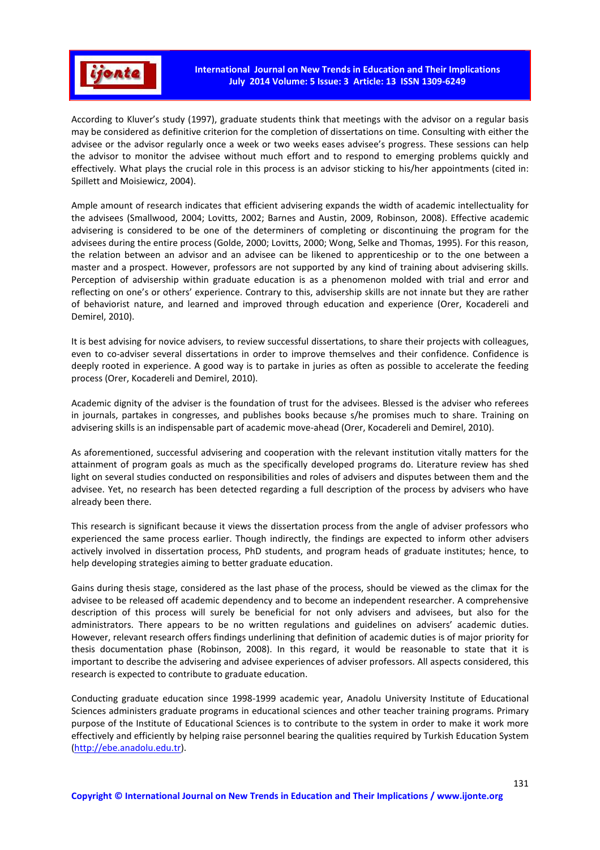

According to Kluver's study (1997), graduate students think that meetings with the advisor on a regular basis may be considered as definitive criterion for the completion of dissertations on time. Consulting with either the advisee or the advisor regularly once a week or two weeks eases advisee's progress. These sessions can help the advisor to monitor the advisee without much effort and to respond to emerging problems quickly and effectively. What plays the crucial role in this process is an advisor sticking to his/her appointments (cited in: Spillett and Moisiewicz, 2004).

Ample amount of research indicates that efficient advisering expands the width of academic intellectuality for the advisees (Smallwood, 2004; Lovitts, 2002; Barnes and Austin, 2009, Robinson, 2008). Effective academic advisering is considered to be one of the determiners of completing or discontinuing the program for the advisees during the entire process (Golde, 2000; Lovitts, 2000; Wong, Selke and Thomas, 1995). For this reason, the relation between an advisor and an advisee can be likened to apprenticeship or to the one between a master and a prospect. However, professors are not supported by any kind of training about advisering skills. Perception of advisership within graduate education is as a phenomenon molded with trial and error and reflecting on one's or others' experience. Contrary to this, advisership skills are not innate but they are rather of behaviorist nature, and learned and improved through education and experience (Orer, Kocadereli and Demirel, 2010).

It is best advising for novice advisers, to review successful dissertations, to share their projects with colleagues, even to co-adviser several dissertations in order to improve themselves and their confidence. Confidence is deeply rooted in experience. A good way is to partake in juries as often as possible to accelerate the feeding process (Orer, Kocadereli and Demirel, 2010).

Academic dignity of the adviser is the foundation of trust for the advisees. Blessed is the adviser who referees in journals, partakes in congresses, and publishes books because s/he promises much to share. Training on advisering skills is an indispensable part of academic move-ahead (Orer, Kocadereli and Demirel, 2010).

As aforementioned, successful advisering and cooperation with the relevant institution vitally matters for the attainment of program goals as much as the specifically developed programs do. Literature review has shed light on several studies conducted on responsibilities and roles of advisers and disputes between them and the advisee. Yet, no research has been detected regarding a full description of the process by advisers who have already been there.

This research is significant because it views the dissertation process from the angle of adviser professors who experienced the same process earlier. Though indirectly, the findings are expected to inform other advisers actively involved in dissertation process, PhD students, and program heads of graduate institutes; hence, to help developing strategies aiming to better graduate education.

Gains during thesis stage, considered as the last phase of the process, should be viewed as the climax for the advisee to be released off academic dependency and to become an independent researcher. A comprehensive description of this process will surely be beneficial for not only advisers and advisees, but also for the administrators. There appears to be no written regulations and guidelines on advisers' academic duties. However, relevant research offers findings underlining that definition of academic duties is of major priority for thesis documentation phase (Robinson, 2008). In this regard, it would be reasonable to state that it is important to describe the advisering and advisee experiences of adviser professors. All aspects considered, this research is expected to contribute to graduate education.

Conducting graduate education since 1998-1999 academic year, Anadolu University Institute of Educational Sciences administers graduate programs in educational sciences and other teacher training programs. Primary purpose of the Institute of Educational Sciences is to contribute to the system in order to make it work more effectively and efficiently by helping raise personnel bearing the qualities required by Turkish Education System (http://ebe.anadolu.edu.tr).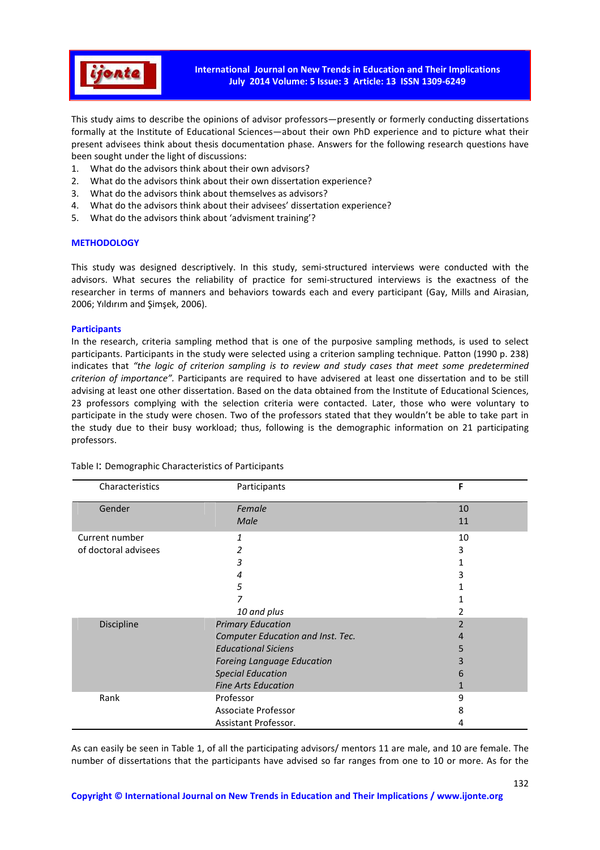

This study aims to describe the opinions of advisor professors—presently or formerly conducting dissertations formally at the Institute of Educational Sciences—about their own PhD experience and to picture what their present advisees think about thesis documentation phase. Answers for the following research questions have been sought under the light of discussions:

- 1. What do the advisors think about their own advisors?
- 2. What do the advisors think about their own dissertation experience?
- 3. What do the advisors think about themselves as advisors?
- 4. What do the advisors think about their advisees' dissertation experience?
- 5. What do the advisors think about 'advisment training'?

### **METHODOLOGY**

This study was designed descriptively. In this study, semi-structured interviews were conducted with the advisors. What secures the reliability of practice for semi-structured interviews is the exactness of the researcher in terms of manners and behaviors towards each and every participant (Gay, Mills and Airasian, 2006; Yıldırım and Şimşek, 2006).

### **Participants**

In the research, criteria sampling method that is one of the purposive sampling methods, is used to select participants. Participants in the study were selected using a criterion sampling technique. Patton (1990 p. 238) indicates that *"the logic of criterion sampling is to review and study cases that meet some predetermined criterion of importance".* Participants are required to have advisered at least one dissertation and to be still advising at least one other dissertation. Based on the data obtained from the Institute of Educational Sciences, 23 professors complying with the selection criteria were contacted. Later, those who were voluntary to participate in the study were chosen. Two of the professors stated that they wouldn't be able to take part in the study due to their busy workload; thus, following is the demographic information on 21 participating professors.

| Characteristics      | Participants                      | F  |
|----------------------|-----------------------------------|----|
| Gender               | Female                            | 10 |
|                      | <b>Male</b>                       | 11 |
| Current number       | 1                                 | 10 |
| of doctoral advisees | 2                                 | 3  |
|                      | 3                                 |    |
|                      | 4                                 | 3  |
|                      | 5                                 |    |
|                      |                                   |    |
|                      | 10 and plus                       |    |
| Discipline           | <b>Primary Education</b>          |    |
|                      | Computer Education and Inst. Tec. | 4  |
|                      | <b>Educational Siciens</b>        | 5  |
|                      | <b>Foreing Language Education</b> | 3  |
|                      | <b>Special Education</b>          | 6  |
|                      | <b>Fine Arts Education</b>        |    |
| Rank                 | Professor                         | 9  |
|                      | Associate Professor               | 8  |
|                      | Assistant Professor.              | 4  |

Table I: Demographic Characteristics of Participants

As can easily be seen in Table 1, of all the participating advisors/ mentors 11 are male, and 10 are female. The number of dissertations that the participants have advised so far ranges from one to 10 or more. As for the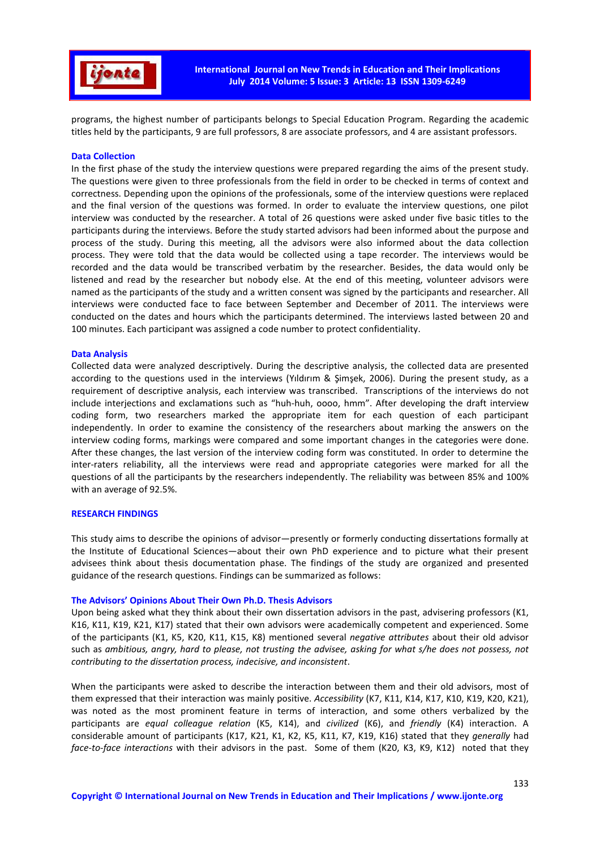

programs, the highest number of participants belongs to Special Education Program. Regarding the academic titles held by the participants, 9 are full professors, 8 are associate professors, and 4 are assistant professors.

#### **Data Collection**

In the first phase of the study the interview questions were prepared regarding the aims of the present study. The questions were given to three professionals from the field in order to be checked in terms of context and correctness. Depending upon the opinions of the professionals, some of the interview questions were replaced and the final version of the questions was formed. In order to evaluate the interview questions, one pilot interview was conducted by the researcher. A total of 26 questions were asked under five basic titles to the participants during the interviews. Before the study started advisors had been informed about the purpose and process of the study. During this meeting, all the advisors were also informed about the data collection process. They were told that the data would be collected using a tape recorder. The interviews would be recorded and the data would be transcribed verbatim by the researcher. Besides, the data would only be listened and read by the researcher but nobody else. At the end of this meeting, volunteer advisors were named as the participants of the study and a written consent was signed by the participants and researcher. All interviews were conducted face to face between September and December of 2011. The interviews were conducted on the dates and hours which the participants determined. The interviews lasted between 20 and 100 minutes. Each participant was assigned a code number to protect confidentiality.

#### **Data Analysis**

Collected data were analyzed descriptively. During the descriptive analysis, the collected data are presented according to the questions used in the interviews (Yıldırım & Şimşek, 2006). During the present study, as a requirement of descriptive analysis, each interview was transcribed. Transcriptions of the interviews do not include interjections and exclamations such as "huh-huh, oooo, hmm". After developing the draft interview coding form, two researchers marked the appropriate item for each question of each participant independently. In order to examine the consistency of the researchers about marking the answers on the interview coding forms, markings were compared and some important changes in the categories were done. After these changes, the last version of the interview coding form was constituted. In order to determine the inter-raters reliability, all the interviews were read and appropriate categories were marked for all the questions of all the participants by the researchers independently. The reliability was between 85% and 100% with an average of 92.5%.

#### **RESEARCH FINDINGS**

This study aims to describe the opinions of advisor—presently or formerly conducting dissertations formally at the Institute of Educational Sciences—about their own PhD experience and to picture what their present advisees think about thesis documentation phase. The findings of the study are organized and presented guidance of the research questions. Findings can be summarized as follows:

#### **The Advisors' Opinions About Their Own Ph.D. Thesis Advisors**

Upon being asked what they think about their own dissertation advisors in the past, advisering professors (K1, K16, K11, K19, K21, K17) stated that their own advisors were academically competent and experienced. Some of the participants (K1, K5, K20, K11, K15, K8) mentioned several *negative attributes* about their old advisor such as *ambitious, angry, hard to please, not trusting the advisee, asking for what s/he does not possess, not contributing to the dissertation process, indecisive, and inconsistent*.

When the participants were asked to describe the interaction between them and their old advisors, most of them expressed that their interaction was mainly positive. *Accessibility* (K7, K11, K14, K17, K10, K19, K20, K21), was noted as the most prominent feature in terms of interaction, and some others verbalized by the participants are *equal colleague relation* (K5, K14), and *civilized* (K6), and *friendly* (K4) interaction. A considerable amount of participants (K17, K21, K1, K2, K5, K11, K7, K19, K16) stated that they *generally* had *face-to-face interactions* with their advisors in the past. Some of them (K20, K3, K9, K12) noted that they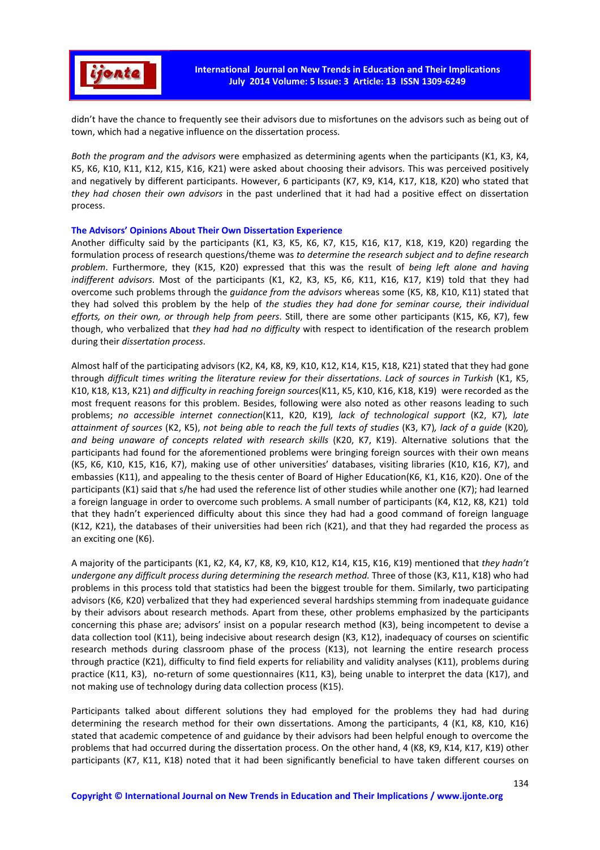

didn't have the chance to frequently see their advisors due to misfortunes on the advisors such as being out of town, which had a negative influence on the dissertation process.

*Both the program and the advisors* were emphasized as determining agents when the participants (K1, K3, K4, K5, K6, K10, K11, K12, K15, K16, K21) were asked about choosing their advisors. This was perceived positively and negatively by different participants. However, 6 participants (K7, K9, K14, K17, K18, K20) who stated that *they had chosen their own advisors* in the past underlined that it had had a positive effect on dissertation process.

### **The Advisors' Opinions About Their Own Dissertation Experience**

Another difficulty said by the participants (K1, K3, K5, K6, K7, K15, K16, K17, K18, K19, K20) regarding the formulation process of research questions/theme was *to determine the research subject and to define research problem*. Furthermore, they (K15, K20) expressed that this was the result of *being left alone and having indifferent advisors*. Most of the participants (K1, K2, K3, K5, K6, K11, K16, K17, K19) told that they had overcome such problems through the *guidance from the advisors* whereas some (K5, K8, K10, K11) stated that they had solved this problem by the help of *the studies they had done for seminar course, their individual efforts, on their own, or through help from peers*. Still, there are some other participants (K15, K6, K7), few though, who verbalized that *they had had no difficulty* with respect to identification of the research problem during their *dissertation process*.

Almost half of the participating advisors (K2, K4, K8, K9, K10, K12, K14, K15, K18, K21) stated that they had gone through *difficult times writing the literature review for their dissertations*. *Lack of sources in Turkish* (K1, K5, K10, K18, K13, K21) *and difficulty in reaching foreign sources*(K11, K5, K10, K16, K18, K19) were recorded as the most frequent reasons for this problem. Besides, following were also noted as other reasons leading to such problems; *no accessible internet connection*(K11, K20, K19)*, lack of technological support* (K2, K7)*, late attainment of sources* (K2, K5), *not being able to reach the full texts of studies* (K3, K7)*, lack of a guide* (K20)*, and being unaware of concepts related with research skills* (K20, K7, K19). Alternative solutions that the participants had found for the aforementioned problems were bringing foreign sources with their own means (K5, K6, K10, K15, K16, K7), making use of other universities' databases, visiting libraries (K10, K16, K7), and embassies (K11), and appealing to the thesis center of Board of Higher Education(K6, K1, K16, K20). One of the participants (K1) said that s/he had used the reference list of other studies while another one (K7); had learned a foreign language in order to overcome such problems. A small number of participants (K4, K12, K8, K21) told that they hadn't experienced difficulty about this since they had had a good command of foreign language (K12, K21), the databases of their universities had been rich (K21), and that they had regarded the process as an exciting one (K6).

A majority of the participants (K1, K2, K4, K7, K8, K9, K10, K12, K14, K15, K16, K19) mentioned that *they hadn't undergone any difficult process during determining the research method.* Three of those (K3, K11, K18) who had problems in this process told that statistics had been the biggest trouble for them. Similarly, two participating advisors (K6, K20) verbalized that they had experienced several hardships stemming from inadequate guidance by their advisors about research methods. Apart from these, other problems emphasized by the participants concerning this phase are; advisors' insist on a popular research method (K3), being incompetent to devise a data collection tool (K11), being indecisive about research design (K3, K12), inadequacy of courses on scientific research methods during classroom phase of the process (K13), not learning the entire research process through practice (K21), difficulty to find field experts for reliability and validity analyses (K11), problems during practice (K11, K3), no-return of some questionnaires (K11, K3), being unable to interpret the data (K17), and not making use of technology during data collection process (K15).

Participants talked about different solutions they had employed for the problems they had had during determining the research method for their own dissertations. Among the participants, 4 (K1, K8, K10, K16) stated that academic competence of and guidance by their advisors had been helpful enough to overcome the problems that had occurred during the dissertation process. On the other hand, 4 (K8, K9, K14, K17, K19) other participants (K7, K11, K18) noted that it had been significantly beneficial to have taken different courses on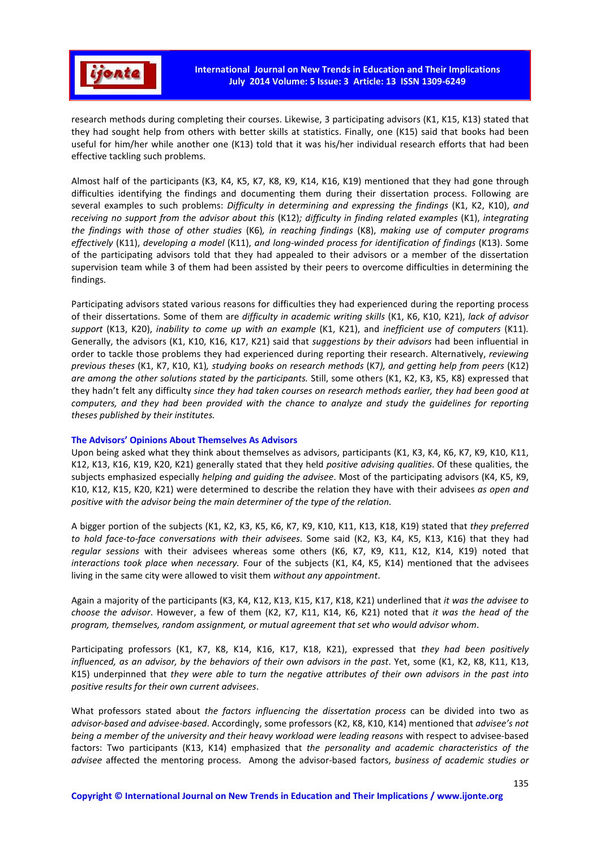

research methods during completing their courses. Likewise, 3 participating advisors (K1, K15, K13) stated that they had sought help from others with better skills at statistics. Finally, one (K15) said that books had been useful for him/her while another one (K13) told that it was his/her individual research efforts that had been effective tackling such problems.

Almost half of the participants (K3, K4, K5, K7, K8, K9, K14, K16, K19) mentioned that they had gone through difficulties identifying the findings and documenting them during their dissertation process. Following are several examples to such problems: *Difficulty in determining and expressing the findings* (K1, K2, K10), *and receiving no support from the advisor about this* (K12)*; difficulty in finding related examples* (K1), *integrating the findings with those of other studies* (K6)*, in reaching findings* (K8), *making use of computer programs effectively* (K11), *developing a model* (K11), *and long-winded process for identification of findings* (K13). Some of the participating advisors told that they had appealed to their advisors or a member of the dissertation supervision team while 3 of them had been assisted by their peers to overcome difficulties in determining the findings.

Participating advisors stated various reasons for difficulties they had experienced during the reporting process of their dissertations. Some of them are *difficulty in academic writing skills* (K1, K6, K10, K21), *lack of advisor support* (K13, K20), *inability to come up with an example* (K1, K21), and *inefficient use of computers* (K11)*.* Generally, the advisors (K1, K10, K16, K17, K21) said that *suggestions by their advisors* had been influential in order to tackle those problems they had experienced during reporting their research. Alternatively, *reviewing previous theses* (K1, K7, K10, K1)*, studying books on research methods* (K7*), and getting help from peers* (K12) *are among the other solutions stated by the participants.* Still, some others (K1, K2, K3, K5, K8) expressed that they hadn't felt any difficulty *since they had taken courses on research methods earlier, they had been good at computers, and they had been provided with the chance to analyze and study the guidelines for reporting theses published by their institutes.*

## **The Advisors' Opinions About Themselves As Advisors**

Upon being asked what they think about themselves as advisors, participants (K1, K3, K4, K6, K7, K9, K10, K11, K12, K13, K16, K19, K20, K21) generally stated that they held *positive advising qualities*. Of these qualities, the subjects emphasized especially *helping and guiding the advisee*. Most of the participating advisors (K4, K5, K9, K10, K12, K15, K20, K21) were determined to describe the relation they have with their advisees *as open and positive with the advisor being the main determiner of the type of the relation.* 

A bigger portion of the subjects (K1, K2, K3, K5, K6, K7, K9, K10, K11, K13, K18, K19) stated that *they preferred to hold face-to-face conversations with their advisees*. Some said (K2, K3, K4, K5, K13, K16) that they had *regular sessions* with their advisees whereas some others (K6, K7, K9, K11, K12, K14, K19) noted that *interactions took place when necessary.* Four of the subjects (K1, K4, K5, K14) mentioned that the advisees living in the same city were allowed to visit them *without any appointment*.

Again a majority of the participants (K3, K4, K12, K13, K15, K17, K18, K21) underlined that *it was the advisee to choose the advisor*. However, a few of them (K2, K7, K11, K14, K6, K21) noted that *it was the head of the program, themselves, random assignment, or mutual agreement that set who would advisor whom*.

Participating professors (K1, K7, K8, K14, K16, K17, K18, K21), expressed that *they had been positively influenced, as an advisor, by the behaviors of their own advisors in the past*. Yet, some (K1, K2, K8, K11, K13, K15) underpinned that *they were able to turn the negative attributes of their own advisors in the past into positive results for their own current advisees*.

What professors stated about *the factors influencing the dissertation process* can be divided into two as *advisor-based and advisee-based*. Accordingly, some professors (K2, K8, K10, K14) mentioned that *advisee's not being a member of the university and their heavy workload were leading reasons* with respect to advisee-based factors: Two participants (K13, K14) emphasized that *the personality and academic characteristics of the advisee* affected the mentoring process. Among the advisor-based factors, *business of academic studies or*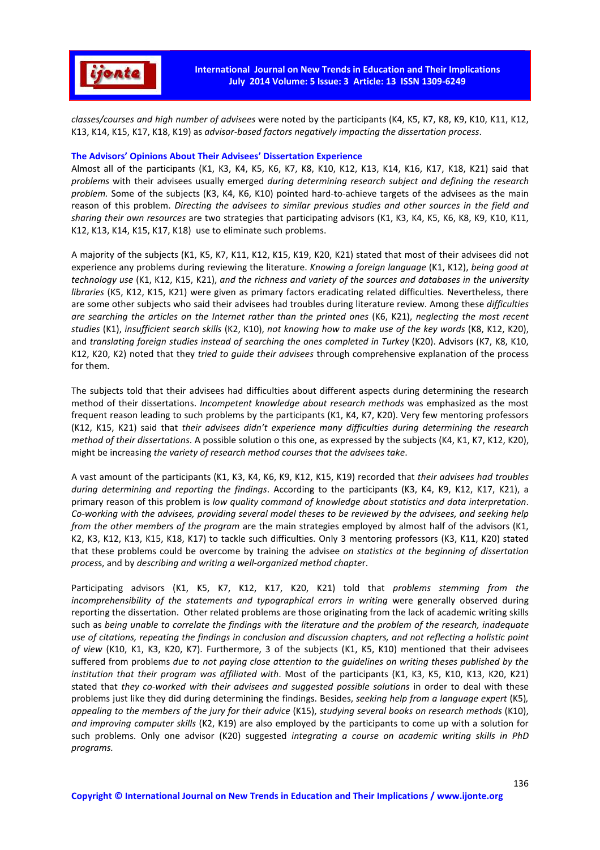

*classes/courses and high number of advisees* were noted by the participants (K4, K5, K7, K8, K9, K10, K11, K12, K13, K14, K15, K17, K18, K19) as *advisor-based factors negatively impacting the dissertation process*.

#### **The Advisors' Opinions About Their Advisees' Dissertation Experience**

Almost all of the participants (K1, K3, K4, K5, K6, K7, K8, K10, K12, K13, K14, K16, K17, K18, K21) said that *problems* with their advisees usually emerged *during determining research subject and defining the research problem.* Some of the subjects (K3, K4, K6, K10) pointed hard-to-achieve targets of the advisees as the main reason of this problem. *Directing the advisees to similar previous studies and other sources in the field and sharing their own resources* are two strategies that participating advisors (K1, K3, K4, K5, K6, K8, K9, K10, K11, K12, K13, K14, K15, K17, K18) use to eliminate such problems.

A majority of the subjects (K1, K5, K7, K11, K12, K15, K19, K20, K21) stated that most of their advisees did not experience any problems during reviewing the literature. *Knowing a foreign language* (K1, K12), *being good at technology use* (K1, K12, K15, K21), *and the richness and variety of the sources and databases in the university libraries* (K5, K12, K15, K21) were given as primary factors eradicating related difficulties. Nevertheless, there are some other subjects who said their advisees had troubles during literature review. Among these *difficulties are searching the articles on the Internet rather than the printed ones* (K6, K21), *neglecting the most recent studies* (K1), *insufficient search skills* (K2, K10), *not knowing how to make use of the key words* (K8, K12, K20), and *translating foreign studies instead of searching the ones completed in Turkey* (K20). Advisors (K7, K8, K10, K12, K20, K2) noted that they *tried to guide their advisees* through comprehensive explanation of the process for them.

The subjects told that their advisees had difficulties about different aspects during determining the research method of their dissertations. *Incompetent knowledge about research methods* was emphasized as the most frequent reason leading to such problems by the participants (K1, K4, K7, K20). Very few mentoring professors (K12, K15, K21) said that *their advisees didn't experience many difficulties during determining the research method of their dissertations*. A possible solution o this one, as expressed by the subjects (K4, K1, K7, K12, K20), might be increasing *the variety of research method courses that the advisees take*.

A vast amount of the participants (K1, K3, K4, K6, K9, K12, K15, K19) recorded that *their advisees had troubles during determining and reporting the findings*. According to the participants (K3, K4, K9, K12, K17, K21), a primary reason of this problem is *low quality command of knowledge about statistics and data interpretation*. *Co-working with the advisees, providing several model theses to be reviewed by the advisees, and seeking help from the other members of the program* are the main strategies employed by almost half of the advisors (K1, K2, K3, K12, K13, K15, K18, K17) to tackle such difficulties. Only 3 mentoring professors (K3, K11, K20) stated that these problems could be overcome by training the advisee *on statistics at the beginning of dissertation proces*s, and by *describing and writing a well-organized method chapte*r.

Participating advisors (K1, K5, K7, K12, K17, K20, K21) told that *problems stemming from the incomprehensibility of the statements and typographical errors in writing were generally observed during* reporting the dissertation. Other related problems are those originating from the lack of academic writing skills such as *being unable to correlate the findings with the literature and the problem of the research, inadequate use of citations, repeating the findings in conclusion and discussion chapters, and not reflecting a holistic point of view* (K10, K1, K3, K20, K7). Furthermore, 3 of the subjects (K1, K5, K10) mentioned that their advisees suffered from problems *due to not paying close attention to the guidelines on writing theses published by the institution that their program was affiliated with*. Most of the participants (K1, K3, K5, K10, K13, K20, K21) stated that *they co-worked with their advisees and suggested possible solutions* in order to deal with these problems just like they did during determining the findings. Besides, *seeking help from a language expert* (K5)*, appealing to the members of the jury for their advice* (K15), *studying several books on research methods* (K10), *and improving computer skills* (K2, K19) are also employed by the participants to come up with a solution for such problems. Only one advisor (K20) suggested *integrating a course on academic writing skills in PhD programs.*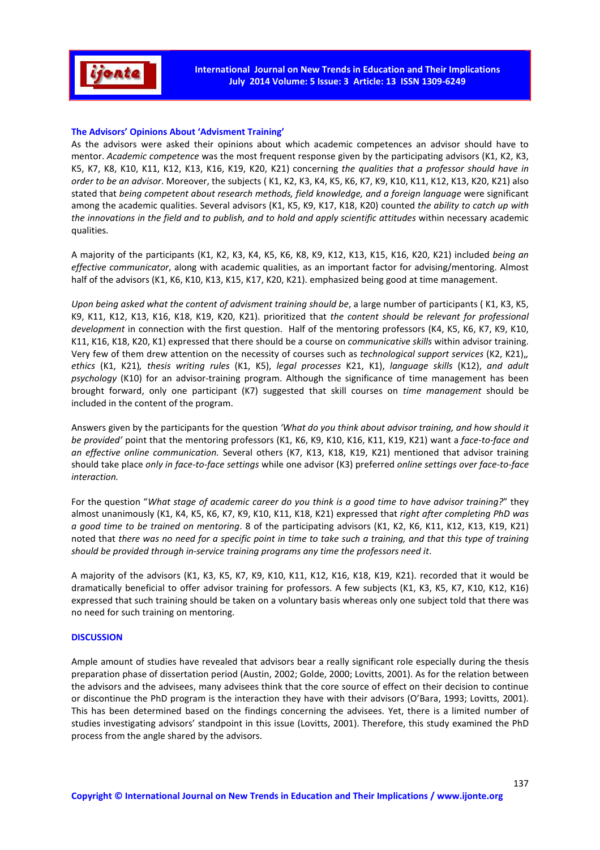

### **The Advisors' Opinions About 'Advisment Training'**

As the advisors were asked their opinions about which academic competences an advisor should have to mentor. *Academic competence* was the most frequent response given by the participating advisors (K1, K2, K3, K5, K7, K8, K10, K11, K12, K13, K16, K19, K20, K21) concerning *the qualities that a professor should have in order to be an advisor*. Moreover, the subjects ( K1, K2, K3, K4, K5, K6, K7, K9, K10, K11, K12, K13, K20, K21) also stated that *being competent about research methods, field knowledge, and a foreign language* were significant among the academic qualities. Several advisors (K1, K5, K9, K17, K18, K20) counted *the ability to catch up with the innovations in the field and to publish, and to hold and apply scientific attitudes* within necessary academic qualities.

A majority of the participants (K1, K2, K3, K4, K5, K6, K8, K9, K12, K13, K15, K16, K20, K21) included *being an effective communicator*, along with academic qualities, as an important factor for advising/mentoring. Almost half of the advisors (K1, K6, K10, K13, K15, K17, K20, K21). emphasized being good at time management.

*Upon being asked what the content of advisment training should be*, a large number of participants ( K1, K3, K5, K9, K11, K12, K13, K16, K18, K19, K20, K21). prioritized that *the content should be relevant for professional development* in connection with the first question. Half of the mentoring professors (K4, K5, K6, K7, K9, K10, K11, K16, K18, K20, K1) expressed that there should be a course on *communicative skills* within advisor training. Very few of them drew attention on the necessity of courses such as *technological support services* (K2, K21),*, ethics* (K1, K21)*, thesis writing rules* (K1, K5), *legal processes* K21, K1), *language skills* (K12), *and adult psychology* (K10) for an advisor-training program. Although the significance of time management has been brought forward, only one participant (K7) suggested that skill courses on *time management* should be included in the content of the program.

Answers given by the participants for the question *'What do you think about advisor training, and how should it be provided'* point that the mentoring professors (K1, K6, K9, K10, K16, K11, K19, K21) want a *face-to-face and an effective online communication.* Several others (K7, K13, K18, K19, K21) mentioned that advisor training should take place *only in face-to-face settings* while one advisor (K3) preferred *online settings over face-to-face interaction.* 

For the question "*What stage of academic career do you think is a good time to have advisor training?*" they almost unanimously (K1, K4, K5, K6, K7, K9, K10, K11, K18, K21) expressed that *right after completing PhD was a good time to be trained on mentoring*. 8 of the participating advisors (K1, K2, K6, K11, K12, K13, K19, K21) noted that *there was no need for a specific point in time to take such a training, and that this type of training should be provided through in-service training programs any time the professors need it*.

A majority of the advisors (K1, K3, K5, K7, K9, K10, K11, K12, K16, K18, K19, K21). recorded that it would be dramatically beneficial to offer advisor training for professors. A few subjects (K1, K3, K5, K7, K10, K12, K16) expressed that such training should be taken on a voluntary basis whereas only one subject told that there was no need for such training on mentoring.

### **DISCUSSION**

Ample amount of studies have revealed that advisors bear a really significant role especially during the thesis preparation phase of dissertation period (Austin, 2002; Golde, 2000; Lovitts, 2001). As for the relation between the advisors and the advisees, many advisees think that the core source of effect on their decision to continue or discontinue the PhD program is the interaction they have with their advisors (O'Bara, 1993; Lovitts, 2001). This has been determined based on the findings concerning the advisees. Yet, there is a limited number of studies investigating advisors' standpoint in this issue (Lovitts, 2001). Therefore, this study examined the PhD process from the angle shared by the advisors.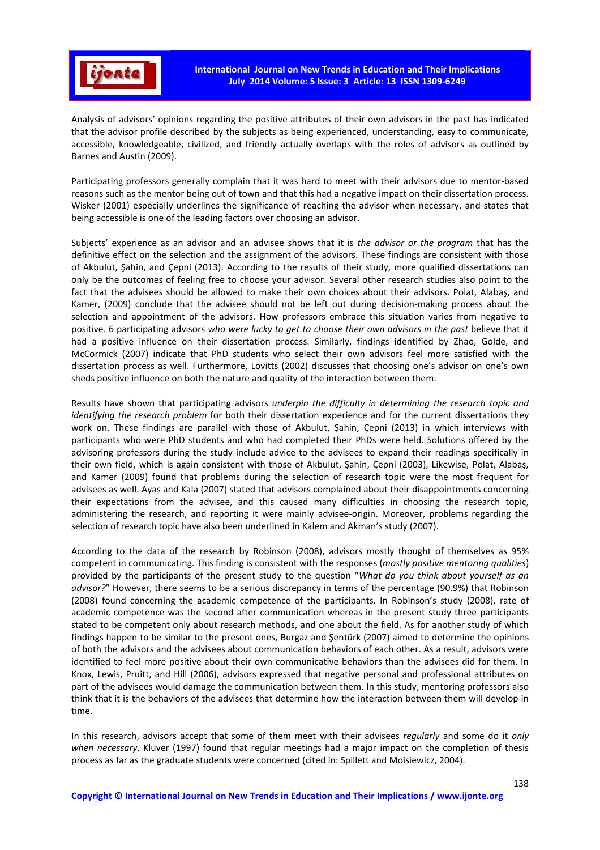

Analysis of advisors' opinions regarding the positive attributes of their own advisors in the past has indicated that the advisor profile described by the subjects as being experienced, understanding, easy to communicate, accessible, knowledgeable, civilized, and friendly actually overlaps with the roles of advisors as outlined by Barnes and Austin (2009).

Participating professors generally complain that it was hard to meet with their advisors due to mentor-based reasons such as the mentor being out of town and that this had a negative impact on their dissertation process. Wisker (2001) especially underlines the significance of reaching the advisor when necessary, and states that being accessible is one of the leading factors over choosing an advisor.

Subjects' experience as an advisor and an advisee shows that it is *the advisor or the program* that has the definitive effect on the selection and the assignment of the advisors. These findings are consistent with those of Akbulut, Şahin, and Çepni (2013). According to the results of their study, more qualified dissertations can only be the outcomes of feeling free to choose your advisor. Several other research studies also point to the fact that the advisees should be allowed to make their own choices about their advisors. Polat, Alabaş, and Kamer, (2009) conclude that the advisee should not be left out during decision-making process about the selection and appointment of the advisors. How professors embrace this situation varies from negative to positive. 6 participating advisors who were lucky to get to choose their own advisors in the past believe that it had a positive influence on their dissertation process. Similarly, findings identified by Zhao, Golde, and McCormick (2007) indicate that PhD students who select their own advisors feel more satisfied with the dissertation process as well. Furthermore, Lovitts (2002) discusses that choosing one's advisor on one's own sheds positive influence on both the nature and quality of the interaction between them.

Results have shown that participating advisors *underpin the difficulty in determining the research topic and identifying the research problem* for both their dissertation experience and for the current dissertations they work on. These findings are parallel with those of Akbulut, Şahin, Çepni (2013) in which interviews with participants who were PhD students and who had completed their PhDs were held. Solutions offered by the advisoring professors during the study include advice to the advisees to expand their readings specifically in their own field, which is again consistent with those of Akbulut, Şahin, Çepni (2003), Likewise, Polat, Alabaş, and Kamer (2009) found that problems during the selection of research topic were the most frequent for advisees as well. Ayas and Kala (2007) stated that advisors complained about their disappointments concerning their expectations from the advisee, and this caused many difficulties in choosing the research topic, administering the research, and reporting it were mainly advisee-origin. Moreover, problems regarding the selection of research topic have also been underlined in Kalem and Akman's study (2007).

According to the data of the research by Robinson (2008), advisors mostly thought of themselves as 95% competent in communicating. This finding is consistent with the responses (*mostly positive mentoring qualities*) provided by the participants of the present study to the question "*What do you think about yourself as an advisor?*" However, there seems to be a serious discrepancy in terms of the percentage (90.9%) that Robinson (2008) found concerning the academic competence of the participants. In Robinson's study (2008), rate of academic competence was the second after communication whereas in the present study three participants stated to be competent only about research methods, and one about the field. As for another study of which findings happen to be similar to the present ones, Burgaz and Şentürk (2007) aimed to determine the opinions of both the advisors and the advisees about communication behaviors of each other. As a result, advisors were identified to feel more positive about their own communicative behaviors than the advisees did for them. In Knox, Lewis, Pruitt, and Hill (2006), advisors expressed that negative personal and professional attributes on part of the advisees would damage the communication between them. In this study, mentoring professors also think that it is the behaviors of the advisees that determine how the interaction between them will develop in time.

In this research, advisors accept that some of them meet with their advisees *regularly* and some do it *only when necessary*. Kluver (1997) found that regular meetings had a major impact on the completion of thesis process as far as the graduate students were concerned (cited in: Spillett and Moisiewicz, 2004).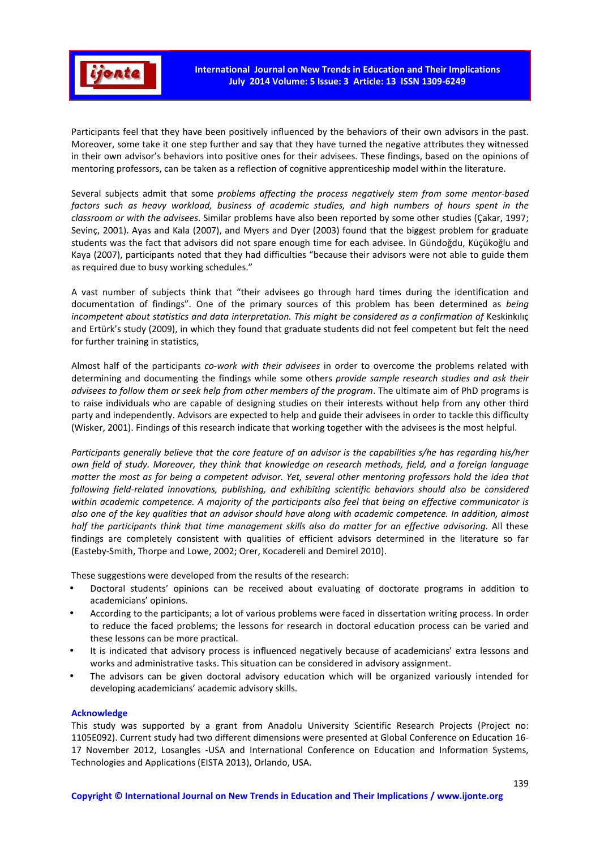

Participants feel that they have been positively influenced by the behaviors of their own advisors in the past. Moreover, some take it one step further and say that they have turned the negative attributes they witnessed in their own advisor's behaviors into positive ones for their advisees. These findings, based on the opinions of mentoring professors, can be taken as a reflection of cognitive apprenticeship model within the literature.

Several subjects admit that some *problems affecting the process negatively stem from some mentor-based factors such as heavy workload, business of academic studies, and high numbers of hours spent in the classroom or with the advisees*. Similar problems have also been reported by some other studies (Çakar, 1997; Sevinç, 2001). Ayas and Kala (2007), and Myers and Dyer (2003) found that the biggest problem for graduate students was the fact that advisors did not spare enough time for each advisee. In Gündoğdu, Küçükoğlu and Kaya (2007), participants noted that they had difficulties "because their advisors were not able to guide them as required due to busy working schedules."

A vast number of subjects think that "their advisees go through hard times during the identification and documentation of findings". One of the primary sources of this problem has been determined as *being incompetent about statistics and data interpretation. This might be considered as a confirmation of Keskinkilic* and Ertürk's study (2009), in which they found that graduate students did not feel competent but felt the need for further training in statistics,

Almost half of the participants *co-work with their advisees* in order to overcome the problems related with determining and documenting the findings while some others *provide sample research studies and ask their advisees to follow them or seek help from other members of the program*. The ultimate aim of PhD programs is to raise individuals who are capable of designing studies on their interests without help from any other third party and independently. Advisors are expected to help and guide their advisees in order to tackle this difficulty (Wisker, 2001). Findings of this research indicate that working together with the advisees is the most helpful.

*Participants generally believe that the core feature of an advisor is the capabilities s/he has regarding his/her own field of study. Moreover, they think that knowledge on research methods, field, and a foreign language matter the most as for being a competent advisor. Yet, several other mentoring professors hold the idea that following field-related innovations, publishing, and exhibiting scientific behaviors should also be considered within academic competence. A majority of the participants also feel that being an effective communicator is also one of the key qualities that an advisor should have along with academic competence. In addition, almost half the participants think that time management skills also do matter for an effective advisoring.* All these findings are completely consistent with qualities of efficient advisors determined in the literature so far (Easteby-Smith, Thorpe and Lowe, 2002; Orer, Kocadereli and Demirel 2010).

These suggestions were developed from the results of the research:

- Doctoral students' opinions can be received about evaluating of doctorate programs in addition to academicians' opinions.
- According to the participants; a lot of various problems were faced in dissertation writing process. In order to reduce the faced problems; the lessons for research in doctoral education process can be varied and these lessons can be more practical.
- It is indicated that advisory process is influenced negatively because of academicians' extra lessons and works and administrative tasks. This situation can be considered in advisory assignment.
- The advisors can be given doctoral advisory education which will be organized variously intended for developing academicians' academic advisory skills.

### **Acknowledge**

This study was supported by a grant from Anadolu University Scientific Research Projects (Project no: 1105E092). Current study had two different dimensions were presented at Global Conference on Education 16- 17 November 2012, Losangles -USA and International Conference on Education and Information Systems, Technologies and Applications (EISTA 2013), Orlando, USA.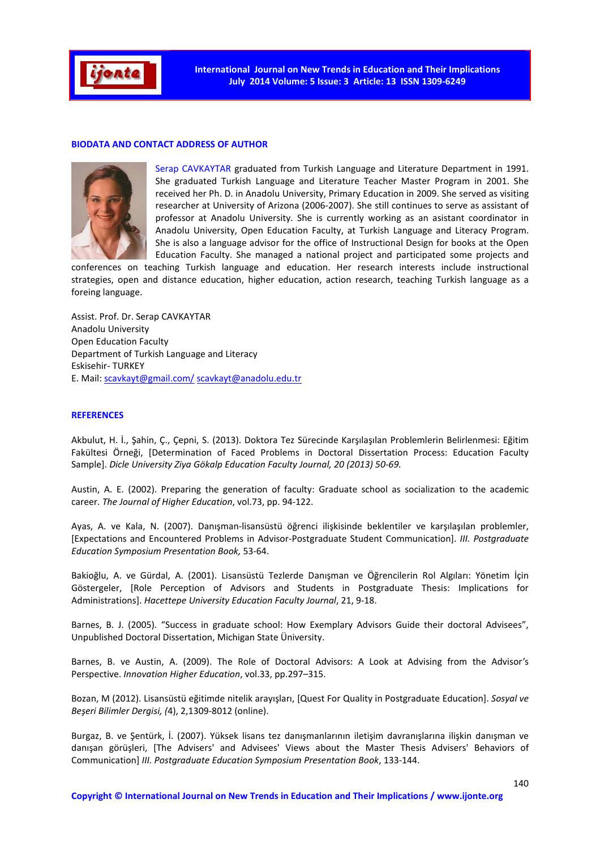

### **BIODATA AND CONTACT ADDRESS OF AUTHOR**



Serap CAVKAYTAR graduated from Turkish Language and Literature Department in 1991. She graduated Turkish Language and Literature Teacher Master Program in 2001. She received her Ph. D. in Anadolu University, Primary Education in 2009. She served as visiting researcher at University of Arizona (2006-2007). She still continues to serve as assistant of professor at Anadolu University. She is currently working as an asistant coordinator in Anadolu University, Open Education Faculty, at Turkish Language and Literacy Program. She is also a language advisor for the office of Instructional Design for books at the Open Education Faculty. She managed a national project and participated some projects and

conferences on teaching Turkish language and education. Her research interests include instructional strategies, open and distance education, higher education, action research, teaching Turkish language as a foreing language.

Assist. Prof. Dr. Serap CAVKAYTAR Anadolu University Open Education Faculty Department of Turkish Language and Literacy Eskisehir- TURKEY E. Mail: scavkayt@gmail.com/ scavkayt@anadolu.edu.tr

### **REFERENCES**

Akbulut, H. İ., Şahin, Ç., Çepni, S. (2013). Doktora Tez Sürecinde Karşılaşılan Problemlerin Belirlenmesi: Eğitim Fakültesi Örneği, [Determination of Faced Problems in Doctoral Dissertation Process: Education Faculty Sample]. *Dicle University Ziya Gökalp Education Faculty Journal, 20 (2013) 50-69.*

Austin, A. E. (2002). Preparing the generation of faculty: Graduate school as socialization to the academic career. *The Journal of Higher Education*, vol.73, pp. 94-122.

Ayas, A. ve Kala, N. (2007). Danışman-lisansüstü öğrenci ilişkisinde beklentiler ve karşılaşılan problemler, [Expectations and Encountered Problems in Advisor-Postgraduate Student Communication]. *III. Postgraduate Education Symposium Presentation Book,* 53-64.

Bakioğlu, A. ve Gürdal, A. (2001). Lisansüstü Tezlerde Danışman ve Öğrencilerin Rol Algıları: Yönetim İçin Göstergeler, [Role Perception of Advisors and Students in Postgraduate Thesis: Implications for Administrations]. *Hacettepe University Education Faculty Journal*, 21, 9-18.

Barnes, B. J. (2005). "Success in graduate school: How Exemplary Advisors Guide their doctoral Advisees", Unpublished Doctoral Dissertation, Michigan State Üniversity.

Barnes, B. ve Austin, A. (2009). The Role of Doctoral Advisors: A Look at Advising from the Advisor*'*s Perspective. *Innovation Higher Education*, vol.33, pp.297–315.

Bozan, M (2012). Lisansüstü eğitimde nitelik arayışları, [Quest For Quality in Postgraduate Education]. *Sosyal ve Beşeri Bilimler Dergisi, (*4), 2,1309-8012 (online).

Burgaz, B. ve Şentürk, İ. (2007). Yüksek lisans tez danışmanlarının iletişim davranışlarına ilişkin danışman ve danışan görüşleri, [The Advisers' and Advisees' Views about the Master Thesis Advisers' Behaviors of Communication] *III. Postgraduate Education Symposium Presentation Book*, 133-144.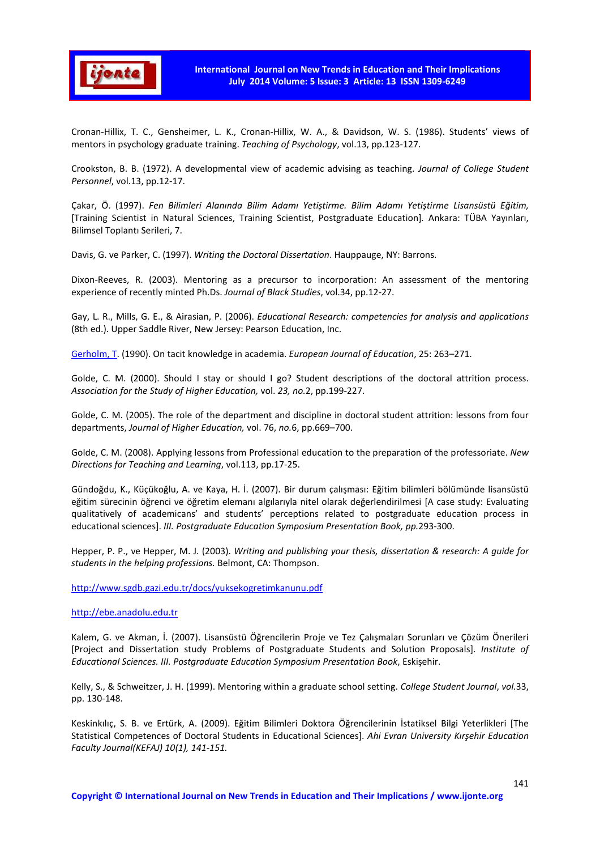

Cronan-Hillix, T. C., Gensheimer, L. K., Cronan-Hillix, W. A., & Davidson, W. S. (1986). Students' views of mentors in psychology graduate training. *Teaching of Psychology*, vol.13, pp.123-127.

Crookston, B. B. (1972). A developmental view of academic advising as teaching. *Journal of College Student Personnel*, vol.13, pp.12-17.

Çakar, Ö. (1997). *Fen Bilimleri Alanında Bilim Adamı Yetiştirme. Bilim Adamı Yetiştirme Lisansüstü Eğitim,*  [Training Scientist in Natural Sciences, Training Scientist, Postgraduate Education]*.* Ankara: TÜBA Yayınları, Bilimsel Toplantı Serileri, 7.

Davis, G. ve Parker, C. (1997). *Writing the Doctoral Dissertation*. Hauppauge, NY: Barrons.

Dixon-Reeves, R. (2003). Mentoring as a precursor to incorporation: An assessment of the mentoring experience of recently minted Ph.Ds. *Journal of Black Studies*, vol.34, pp.12-27.

Gay, L. R., Mills, G. E., & Airasian, P. (2006). *Educational Research: competencies for analysis and applications*  (8th ed.). Upper Saddle River, New Jersey: Pearson Education, Inc.

Gerholm, T. (1990). On tacit knowledge in academia. *European Journal of Education*, 25: 263–271.

Golde, C. M. (2000). Should I stay or should I go? Student descriptions of the doctoral attrition process. *Association for the Study of Higher Education,* vol. *23, no.*2, pp.199-227.

Golde, C. M. (2005). The role of the department and discipline in doctoral student attrition: lessons from four departments, *Journal of Higher Education,* vol. 76, *no.*6, pp.669–700.

Golde, C. M. (2008). Applying lessons from Professional education to the preparation of the professoriate. *New Directions for Teaching and Learning*, vol.113, pp.17-25.

Gündoğdu, K., Küçükoğlu, A. ve Kaya, H. İ. (2007). Bir durum çalışması: Eğitim bilimleri bölümünde lisansüstü eğitim sürecinin öğrenci ve öğretim elemanı algılarıyla nitel olarak değerlendirilmesi [A case study: Evaluating qualitatively of academicans' and students' perceptions related to postgraduate education process in educational sciences]. *III. Postgraduate Education Symposium Presentation Book, pp.*293-300.

Hepper, P. P., ve Hepper, M. J. (2003). *Writing and publishing your thesis, dissertation & research: A guide for students in the helping professions.* Belmont, CA: Thompson.

http://www.sgdb.gazi.edu.tr/docs/yuksekogretimkanunu.pdf

http://ebe.anadolu.edu.tr

Kalem, G. ve Akman, İ. (2007). Lisansüstü Öğrencilerin Proje ve Tez Çalışmaları Sorunları ve Çözüm Önerileri [Project and Dissertation study Problems of Postgraduate Students and Solution Proposals]. *Institute of Educational Sciences. III. Postgraduate Education Symposium Presentation Book*, Eskişehir.

Kelly, S., & Schweitzer, J. H. (1999). Mentoring within a graduate school setting. *College Student Journal*, *vol.*33, pp. 130-148.

Keskinkılıç, S. B. ve Ertürk, A. (2009). Eğitim Bilimleri Doktora Öğrencilerinin İstatiksel Bilgi Yeterlikleri [The Statistical Competences of Doctoral Students in Educational Sciences]. *Ahi Evran University Kırşehir Education Faculty Journal(KEFAJ) 10(1), 141-151.*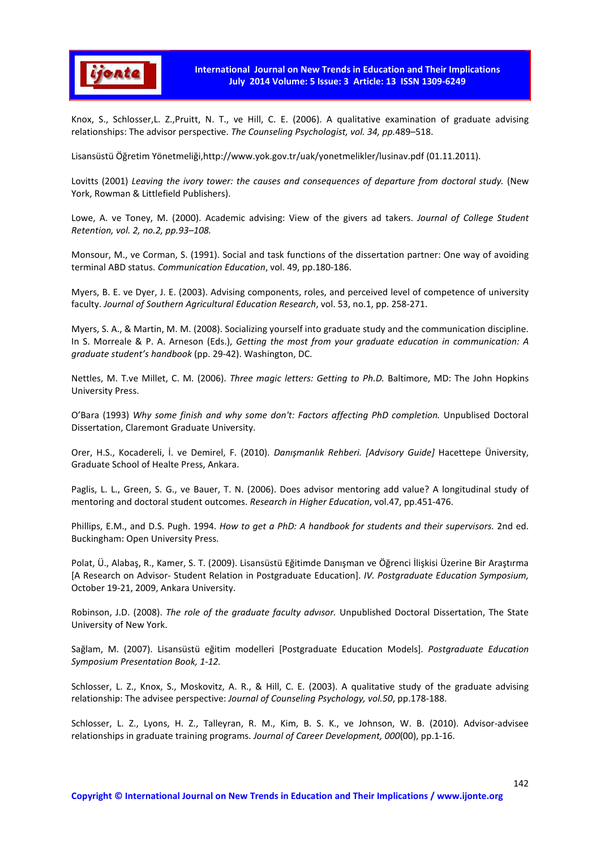

Knox, S., Schlosser,L. Z.,Pruitt, N. T., ve Hill, C. E. (2006). A qualitative examination of graduate advising relationships: The advisor perspective. *The Counseling Psychologist, vol. 34, pp.*489–518.

Lisansüstü Öğretim Yönetmeliği,http://www.yok.gov.tr/uak/yonetmelikler/lusinav.pdf (01.11.2011).

Lovitts (2001) *Leaving the ivory tower: the causes and consequences of departure from doctoral study.* (New York, Rowman & Littlefield Publishers).

Lowe, A. ve Toney, M. (2000). Academic advising: View of the givers ad takers. *Journal of College Student Retention, vol. 2, no.2, pp.93–108.* 

Monsour, M., ve Corman, S. (1991). Social and task functions of the dissertation partner: One way of avoiding terminal ABD status. *Communication Education*, vol. 49, pp.180-186.

Myers, B. E. ve Dyer, J. E. (2003). Advising components, roles, and perceived level of competence of university faculty. *Journal of Southern Agricultural Education Research*, vol. 53, no.1, pp. 258-271.

Myers, S. A., & Martin, M. M. (2008). Socializing yourself into graduate study and the communication discipline. In S. Morreale & P. A. Arneson (Eds.), *Getting the most from your graduate education in communication: A graduate student's handbook* (pp. 29-42). Washington, DC.

Nettles, M. T.ve Millet, C. M. (2006). *Three magic letters: Getting to Ph.D.* Baltimore, MD: The John Hopkins University Press.

O'Bara (1993) *Why some finish and why some don't: Factors affecting PhD completion.* Unpublised Doctoral Dissertation, Claremont Graduate University.

Orer, H.S., Kocadereli, İ. ve Demirel, F. (2010). *Danışmanlık Rehberi. [Advisory Guide]* Hacettepe Üniversity, Graduate School of Healte Press, Ankara.

Paglis, L. L., Green, S. G., ve Bauer, T. N. (2006). Does advisor mentoring add value? A longitudinal study of mentoring and doctoral student outcomes. *Research in Higher Education*, vol.47, pp.451-476.

Phillips, E.M., and D.S. Pugh. 1994. *How to get a PhD: A handbook for students and their supervisors.* 2nd ed. Buckingham: Open University Press.

Polat, Ü., Alabaş, R., Kamer, S. T. (2009). Lisansüstü Eğitimde Danışman ve Öğrenci İlişkisi Üzerine Bir Araştırma [A Research on Advisor- Student Relation in Postgraduate Education]. *IV. Postgraduate Education Symposium,* October 19-21, 2009, Ankara University.

Robinson, J.D. (2008). *The role of the graduate faculty advısor.* Unpublished Doctoral Dissertation, The State University of New York.

Sağlam, M. (2007). Lisansüstü eğitim modelleri [Postgraduate Education Models]. *Postgraduate Education Symposium Presentation Book, 1-12.* 

Schlosser, L. Z., Knox, S., Moskovitz, A. R., & Hill, C. E. (2003). A qualitative study of the graduate advising relationship: The advisee perspective: *Journal of Counseling Psychology, vol.50*, pp.178-188.

Schlosser, L. Z., Lyons, H. Z., Talleyran, R. M., Kim, B. S. K., ve Johnson, W. B. (2010). Advisor-advisee relationships in graduate training programs. *Journal of Career Development, 000*(00), pp.1-16.